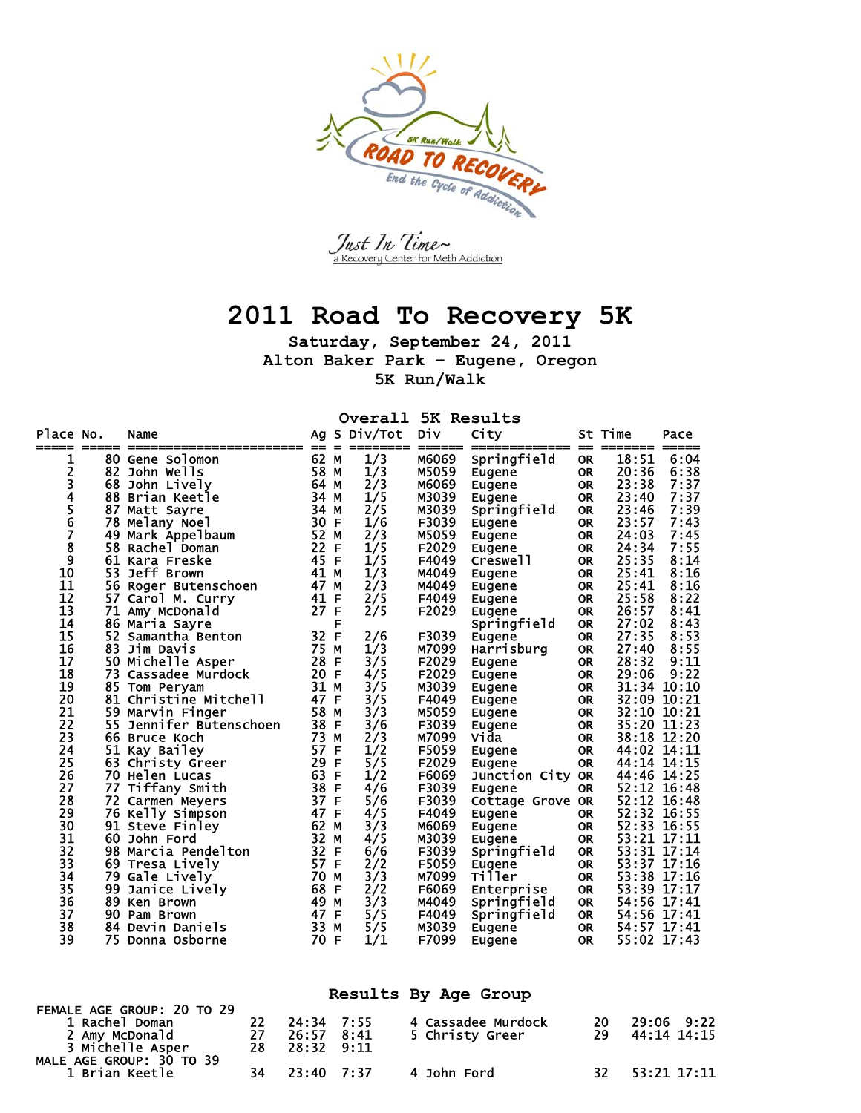

Just In Time~<br>a Recovery Center for Meth Addiction

## **2011 Road To Recovery 5K**

**Saturday, September 24, 2011 Alton Baker Park – Eugene, Oregon 5K Run/Walk** 

**Overall 5K Results** 

| Place No.                                  |                      | Name                                                                               |              |  | Ag S Div/Tot | <b>Div</b> | City<br>====== ============= == ====== |                        | St Time | Pace<br>$\qquad \qquad \overline{\qquad \qquad }=$ |  |  |
|--------------------------------------------|----------------------|------------------------------------------------------------------------------------|--------------|--|--------------|------------|----------------------------------------|------------------------|---------|----------------------------------------------------|--|--|
| 1                                          |                      | 80 Gene Solomon                                                                    | 62 M         |  | 1/3          | M6069      | Springfield                            | <b>OR</b>              | 18:51   | 6:04                                               |  |  |
| $\begin{array}{c} 2 \\ 3 \\ 4 \end{array}$ |                      | 82 John Wells                                                                      | 58 M         |  | 1/3          | M5059      | Eugene                                 | <b>OR</b>              | 20:36   | 6:38                                               |  |  |
|                                            |                      | 68 John Lively                                                                     | 64 M         |  | 2/3          | M6069      | Eugene                                 | <b>OR</b>              | 23:38   | 7:37                                               |  |  |
|                                            |                      | 88 Brian Keetle                                                                    | 34 M         |  | 1/5          | M3039      | Eugene                                 | <b>OR</b>              | 23:40   | 7:37                                               |  |  |
| $\frac{5}{6}$                              |                      | 87 Matt Sayre                                                                      | 34 M         |  | 2/5          | M3039      | Springfield                            | <b>OR</b>              | 23:46   | 7:39                                               |  |  |
|                                            |                      | 78 Melany Noel                                                                     | 30 F         |  | 1/6          | F3039      | Eugene                                 | <b>OR</b>              | 23:57   | 7:43                                               |  |  |
|                                            |                      |                                                                                    |              |  | 2/3          | M5059      | Eugene                                 | <b>OR</b>              | 24:03   | 7:45                                               |  |  |
| 8                                          |                      | 58 Rachel Doman                                                                    | 22 F         |  | 1/5          | F2029      | Eugene                                 | <b>OR</b>              | 24:34   | 7:55                                               |  |  |
| 9                                          |                      | 61 Kara Freske                                                                     | 45 F         |  | 1/5          | F4049      | Creswell                               | <b>OR</b>              | 25:35   | 8:14                                               |  |  |
| 10                                         |                      | 53 Jeff Brown                                                                      | 41 M         |  | 1/3          | M4049      | Eugene                                 | <b>OR</b>              | 25:41   | 8:16                                               |  |  |
| 11                                         |                      | 56 Roger Butenschoen                                                               |              |  | 2/3          | M4049      | Eugene                                 | <b>OR</b>              | 25:41   | 8:16                                               |  |  |
| 12                                         |                      | $47 + 41 = 27 + 5$<br>27 F<br>57 Carol M. Curry                                    |              |  | 2/5          | F4049      | Eugene                                 | <b>OR</b>              | 25:58   | 8:22                                               |  |  |
| 13                                         |                      | 71 Amy McDonald                                                                    |              |  | 2/5          | F2029      | Eugene                                 | <b>OR</b>              | 26:57   | 8:41                                               |  |  |
| 14                                         |                      |                                                                                    |              |  |              |            | Springfield                            | <b>OR</b>              | 27:02   | 8:43                                               |  |  |
| 15                                         |                      |                                                                                    |              |  | 2/6          | F3039      | Eugene                                 | <b>OR</b>              | 27:35   | 8:53                                               |  |  |
| 16                                         |                      |                                                                                    |              |  | 1/3          | M7099      | Harrisburg                             | <b>OR</b>              | 27:40   | 8:55                                               |  |  |
| 17                                         |                      | 50 Michelle Asper                                                                  | 28 F         |  | 3/5          | F2029      | Eugene                                 | <b>OR</b>              | 28:32   | 9:11                                               |  |  |
| 18                                         |                      | 73 Cassadee Murdock                                                                | 20 F         |  | 4/5          | F2029      | Eugene                                 | <b>OR</b>              | 29:06   | 9:22                                               |  |  |
| 19                                         |                      | 85 Tom Peryam                                                                      | 31 M         |  | 3/5          | M3039      | Eugene                                 | <b>OR</b>              |         | 31:34 10:10                                        |  |  |
| 20                                         |                      | 81 Christine Mitchell 47 F                                                         |              |  | 3/5          | F4049      | Eugene                                 | <b>OR</b>              |         | 32:09 10:21                                        |  |  |
| 21                                         |                      | 59 Marvin Finger                                                                   | 58 M         |  | 3/3          | M5059      | Eugene                                 | OR                     |         | 32:10 10:21                                        |  |  |
| 22                                         |                      | 55 Jennifer Butenschoen                                                            | 38 F         |  | 3/6          | F3039      | Eugene                                 | <b>OR</b>              |         | 35:20 11:23                                        |  |  |
| 23                                         |                      | 66 Bruce Koch                                                                      | 73 M         |  | 2/3          | M7099      | Vida                                   | <b>OR</b>              |         | 38:18 12:20                                        |  |  |
| 24                                         |                      | 51 Kay Bailey                                                                      | 57 F         |  | 1/2          | F5059      | Eugene                                 | <b>OR</b>              |         | 44:02 14:11                                        |  |  |
| 25                                         |                      | 29 F<br>63 Christy Greer                                                           |              |  | 5/5          | F2029      | Eugene                                 | <b>OR</b>              |         | 44:14 14:15                                        |  |  |
| 26                                         |                      | 70 Helen Lucas                                                                     | 63 F         |  | 1/2          | F6069      | Junction City OR                       |                        |         | 44:46 14:25                                        |  |  |
| 27                                         |                      | 77 Tiffany Smith                                                                   | 38 F         |  | 4/6          | F3039      | Eugene                                 | <b>OR</b>              |         | 52:12 16:48                                        |  |  |
| 28                                         |                      | $\overline{37}$ F<br>72 Carmen Meyers                                              |              |  | 5/6          | F3039      | Cottage Grove OR                       |                        |         | 52:12 16:48                                        |  |  |
| 29                                         |                      | $\frac{47}{32}$ F<br>62 M<br>32 M<br>76 Kelly Simpson                              |              |  | 4/5          | F4049      | Eugene                                 | <b>OR</b>              |         | 52:32 16:55                                        |  |  |
| 30                                         |                      | 91 Steve Finley                                                                    |              |  | 3/3          | M6069      | Eugene                                 | <b>OR</b>              |         | 52:33 16:55                                        |  |  |
| 31                                         |                      | 60 John Ford                                                                       |              |  | 4/5          | M3039      | Eugene                                 | <b>OR</b>              |         | 53:21 17:11                                        |  |  |
| 32                                         |                      | 98 Marcia Pendelton 32 F<br>69 Tresa Lively 57 F                                   |              |  | 6/6          | F3039      | Springfield                            | <b>OR</b>              |         | 53:31 17:14<br>53:37 17:16                         |  |  |
| 33                                         |                      |                                                                                    |              |  | 2/2          | F5059      | Eugene                                 | OR                     |         |                                                    |  |  |
| 34                                         |                      | A state Lively<br>19 Janice Lively<br>19 Sen Brown<br>19 Dam Brown<br>19 Dam Brown |              |  | 3/3          | M7099      | <b>Tiller</b>                          | <b>OR</b>              |         | 53:38 17:16                                        |  |  |
| 35                                         |                      |                                                                                    |              |  | 2/2          | F6069      | Enterprise                             | <b>OR</b>              |         | 53:39 17:17                                        |  |  |
| 36<br>37                                   |                      |                                                                                    |              |  | 3/3          | M4049      | Springfield                            | <b>OR</b>              |         | 54:56 17:41                                        |  |  |
| 38                                         |                      | 90 Pam Brown                                                                       | 47 F<br>33 M |  | 5/5          | F4049      | Springfield                            | <b>OR</b>              |         | 54:56 17:41                                        |  |  |
| 39                                         |                      | 84 Devin Daniels<br>75 Donna Osborne                                               | 70 F         |  | 5/5          | M3039      | Eugene                                 | <b>OR</b><br><b>OR</b> |         | 54:57 17:41<br>55:02 17:43                         |  |  |
|                                            |                      |                                                                                    |              |  | 1/1          | F7099      | Eugene                                 |                        |         |                                                    |  |  |
|                                            |                      |                                                                                    |              |  |              |            |                                        |                        |         |                                                    |  |  |
|                                            | Results By Age Group |                                                                                    |              |  |              |            |                                        |                        |         |                                                    |  |  |

FEMALE AGE GROUP: 20 TO 29 1 Rachel Doman 22 24:34 7:55 4 Cassadee Murdock 20 29:06 9:22 2 Amy McDonald 27 26:57 8:41 5 Christy Greer 29 44:14 14:15 3 Michelle Asper 28 28:32 9:11 MALE AGE GROUP: 30 TO 39 1 Brian Keetle 34 23:40 7:37 4 John Ford 32 53:21 17:11